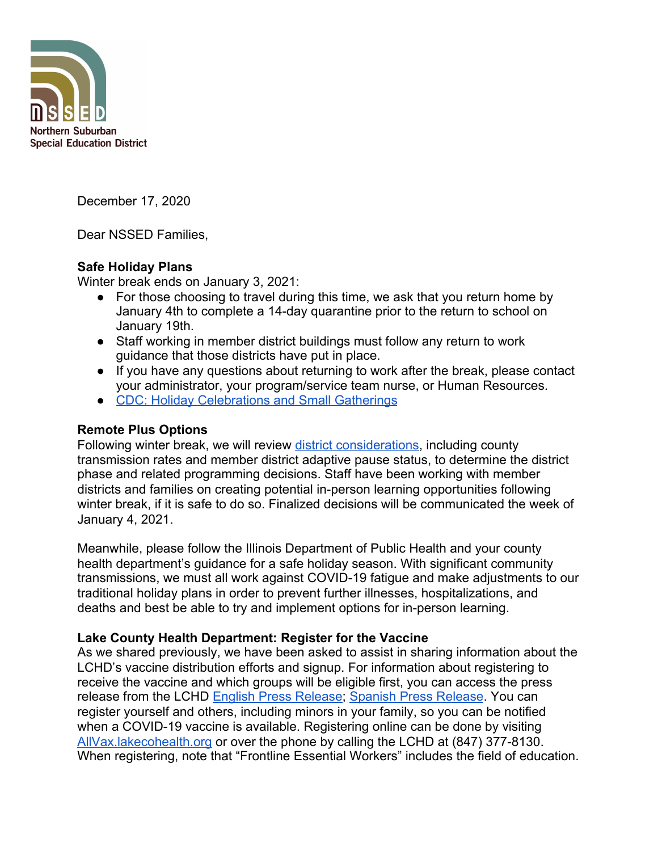

December 17, 2020

Dear NSSED Families,

## **Safe Holiday Plans**

Winter break ends on January 3, 2021:

- For those choosing to travel during this time, we ask that you return home by January 4th to complete a 14-day quarantine prior to the return to school on January 19th.
- Staff working in member district buildings must follow any return to work guidance that those districts have put in place.
- If you have any questions about returning to work after the break, please contact your administrator, your program/service team nurse, or Human Resources.
- [CDC: Holiday Celebrations and Small Gatherings](https://www.cdc.gov/coronavirus/2019-ncov/daily-life-coping/holidays.html)

# **Remote Plus Options**

Following winter break, we will review [district considerations](https://www.nssed.org/Page/394), including county transmission rates and member district adaptive pause status, to determine the district phase and related programming decisions. Staff have been working with member districts and families on creating potential in-person learning opportunities following winter break, if it is safe to do so. Finalized decisions will be communicated the week of January 4, 2021.

Meanwhile, please follow the Illinois Department of Public Health and your county health department's guidance for a safe holiday season. With significant community transmissions, we must all work against COVID-19 fatigue and make adjustments to our traditional holiday plans in order to prevent further illnesses, hospitalizations, and deaths and best be able to try and implement options for in-person learning.

# **Lake County Health Department: Register for the Vaccine**

As we shared previously, we have been asked to assist in sharing information about the LCHD's vaccine distribution efforts and signup. For information about registering to receive the vaccine and which groups will be eligible first, you can access the press release from the LCHD [English Press Release;](https://content.govdelivery.com/accounts/ILLAKE/bulletins/2b04696?fbclid=IwAR1t65YUrX1yOqr0hAIWix9VNNsUTT30ASXYc7iLGdE2sVK8pnq2frlPDCA) [Spanish Press Release](https://content.govdelivery.com/accounts/ILLAKE/bulletins/2b046a8?fbclid=IwAR2zwTCmAMAGPWE2mpLxVb8kkpgXR-lG6jdxU7XXFMtVPUBCuR6CiuTeS64). You can register yourself and others, including minors in your family, so you can be notified when a COVID-19 vaccine is available. Registering online can be done by visiting [AllVax.lakecohealth.org](https://allvax.lakecohealth.org/s/?language=en_US) or over the phone by calling the LCHD at (847) 377-8130. When registering, note that "Frontline Essential Workers" includes the field of education.